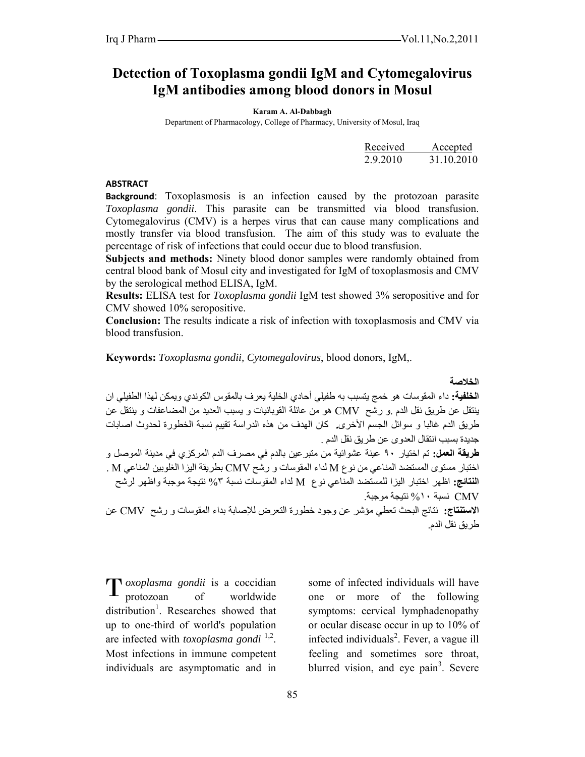# **Detection of Toxoplasma gondii IgM and Cytomegalovirus IgM antibodies among blood donors in Mosul**

**Karam A. Al-Dabbagh** 

Department of Pharmacology, College of Pharmacy, University of Mosul, Iraq

|          | Received Accepted |
|----------|-------------------|
| 2.9.2010 | 31.10.2010        |

#### **ABSTRACT**

**Background**: Toxoplasmosis is an infection caused by the protozoan parasite *Toxoplasma gondii*. This parasite can be transmitted via blood transfusion. Cytomegalovirus (CMV) is a herpes virus that can cause many complications and mostly transfer via blood transfusion. The aim of this study was to evaluate the percentage of risk of infections that could occur due to blood transfusion.

**Subjects and methods:** Ninety blood donor samples were randomly obtained from central blood bank of Mosul city and investigated for IgM of toxoplasmosis and CMV by the serological method ELISA, IgM.

**Results:** ELISA test for *Toxoplasma gondii* IgM test showed 3% seropositive and for CMV showed 10% seropositive.

**Conclusion:** The results indicate a risk of infection with toxoplasmosis and CMV via blood transfusion.

**Keywords:** *Toxoplasma gondii, Cytomegalovirus*, blood donors, IgM,.

**الخلاصة** 

**الخلفية:** داء المقوسات هو خمج يتسبب به طفيلي أحادي الخلية يعرف بالمقوس الكوندي ويمكن لهذا الطفيلي ان ينتقل عن طريق نقل الدم .و رشح CMV هو من عائلة القوبائيات و يسبب العديد من المضاعفات و ينتقل عن طريق الدم غالبا و سوائل الجسم الأخرى**.** آان الهدف من هذه الدراسة تقييم نسبة الخطورة لحدوث اصابات جديدة بسبب انتقال العدوى عن طريق نقل الدم . **طريقة العمل:** تم اختيار ٩٠ عينة عشوائية من متبرعين بالدم في مصرف الدم المرآزي في مدينة الموصل و اختبار مستوى المستضد المناعي من نوع M لداء المقوسات و رشح CMV بطريقة اليزا الغلوبين المناعي M .

**النتائج:** اظهر اختبار اليزا للمستضد المناعي نوع M لداء المقوسات نسبة %٣ نتيجة موجبة واظهر لرشح CMV نسبة %١٠ نتيجة موجبة.

**الاستنتاج:** نتائج البحث تعطي مؤشر عن وجود خطورة التعرض للإصابة بداء المقوسات و رشح CMV عن طريق نقل الدم.

*oxoplasma gondii* is a coccidian T oxoplasma gondii is a coccidian<br>protozoan of worldwide distribution<sup>1</sup>. Researches showed that up to one-third of world's population are infected with *toxoplasma gondi* 1,2. Most infections in immune competent individuals are asymptomatic and in

some of infected individuals will have one or more of the following symptoms: cervical lymphadenopathy or ocular disease occur in up to 10% of infected individuals<sup>2</sup>. Fever, a vague ill feeling and sometimes sore throat, blurred vision, and eye pain<sup>3</sup>. Severe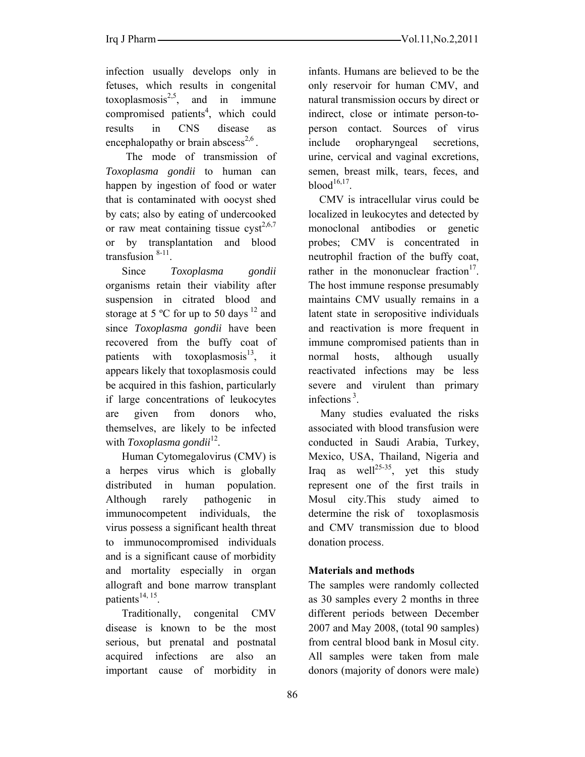infection usually develops only in fetuses, which results in congenital toxoplasmosis<sup>2,5</sup>, and in immune compromised patients<sup>4</sup>, which could results in CNS disease as encephalopathy or brain abscess<sup>2,6</sup>.

The mode of transmission of *Toxoplasma gondii* to human can happen by ingestion of food or water that is contaminated with oocyst shed by cats; also by eating of undercooked or raw meat containing tissue  $\text{cyst}^{2,6,7}$ or by transplantation and blood transfusion 8-11.

Since *Toxoplasma gondii* organisms retain their viability after suspension in citrated blood and storage at 5  $^{\circ}$ C for up to 50 days <sup>12</sup> and since *Toxoplasma gondii* have been recovered from the buffy coat of patients with toxoplasmosis $13$ , it appears likely that toxoplasmosis could be acquired in this fashion, particularly if large concentrations of leukocytes are given from donors who, themselves, are likely to be infected with *Toxoplasma gondii*<sup>12</sup>.

Human Cytomegalovirus (CMV) is a herpes virus which is globally distributed in human population. Although rarely pathogenic in immunocompetent individuals, the virus possess a significant health threat to immunocompromised individuals and is a significant cause of morbidity and mortality especially in organ allograft and bone marrow transplant patients<sup>14, 15</sup>.

Traditionally, congenital CMV disease is known to be the most serious, but prenatal and postnatal acquired infections are also an important cause of morbidity in

infants. Humans are believed to be the only reservoir for human CMV, and natural transmission occurs by direct or indirect, close or intimate person-toperson contact. Sources of virus include oropharyngeal secretions, urine, cervical and vaginal excretions, semen, breast milk, tears, feces, and blood $^{16,17}$ .

 CMV is intracellular virus could be localized in leukocytes and detected by monoclonal antibodies or genetic probes; CMV is concentrated in neutrophil fraction of the buffy coat, rather in the mononuclear fraction $17$ . The host immune response presumably maintains CMV usually remains in a latent state in seropositive individuals and reactivation is more frequent in immune compromised patients than in normal hosts, although usually reactivated infections may be less severe and virulent than primary infections 3.

Many studies evaluated the risks associated with blood transfusion were conducted in Saudi Arabia, Turkey, Mexico, USA, Thailand, Nigeria and Iraq as well<sup>25-35</sup>, yet this study represent one of the first trails in Mosul city.This study aimed to determine the risk of toxoplasmosis and CMV transmission due to blood donation process.

## **Materials and methods**

The samples were randomly collected as 30 samples every 2 months in three different periods between December 2007 and May 2008, (total 90 samples) from central blood bank in Mosul city. All samples were taken from male donors (majority of donors were male)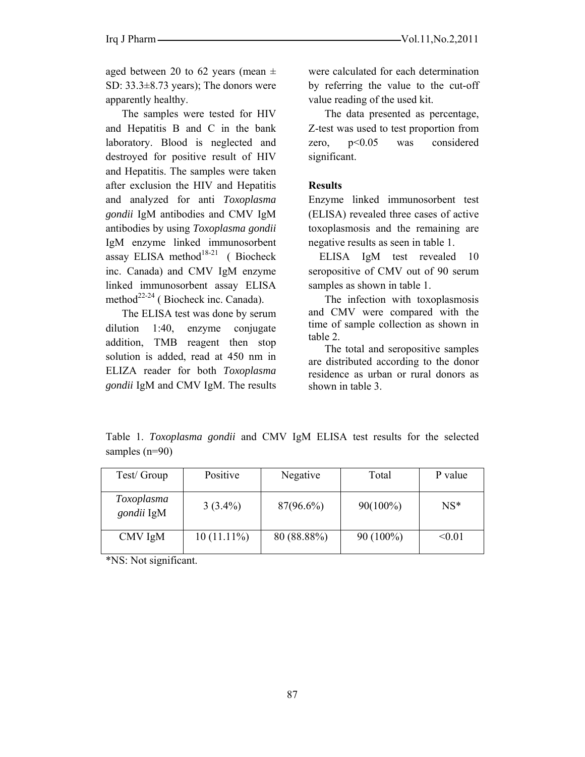aged between 20 to 62 years (mean  $\pm$ SD: 33.3±8.73 years); The donors were apparently healthy.

The samples were tested for HIV and Hepatitis B and C in the bank laboratory. Blood is neglected and destroyed for positive result of HIV and Hepatitis. The samples were taken after exclusion the HIV and Hepatitis and analyzed for anti *Toxoplasma gondii* IgM antibodies and CMV IgM antibodies by using *Toxoplasma gondii* IgM enzyme linked immunosorbent assay ELISA method<sup>18-21</sup> ( Biocheck inc. Canada) and CMV IgM enzyme linked immunosorbent assay ELISA method<sup>22-24</sup> ( Biocheck inc. Canada).

The ELISA test was done by serum dilution 1:40, enzyme conjugate addition, TMB reagent then stop solution is added, read at 450 nm in ELIZA reader for both *Toxoplasma gondii* IgM and CMV IgM. The results were calculated for each determination by referring the value to the cut-off value reading of the used kit.

The data presented as percentage, Z-test was used to test proportion from zero, p<0.05 was considered significant.

#### **Results**

Enzyme linked immunosorbent test (ELISA) revealed three cases of active toxoplasmosis and the remaining are negative results as seen in table 1.

 ELISA IgM test revealed 10 seropositive of CMV out of 90 serum samples as shown in table 1.

The infection with toxoplasmosis and CMV were compared with the time of sample collection as shown in table 2.

The total and seropositive samples are distributed according to the donor residence as urban or rural donors as shown in table 3.

Table 1. *Toxoplasma gondii* and CMV IgM ELISA test results for the selected samples (n=90)

| Test/ Group              | Positive      | Negative     | Total       | P value |
|--------------------------|---------------|--------------|-------------|---------|
| Toxoplasma<br>gondii IgM | $3(3.4\%)$    | $87(96.6\%)$ | $90(100\%)$ | $NS^*$  |
| CMV IgM                  | $10(11.11\%)$ | 80 (88.88%)  | $90(100\%)$ | < 0.01  |

\*NS: Not significant.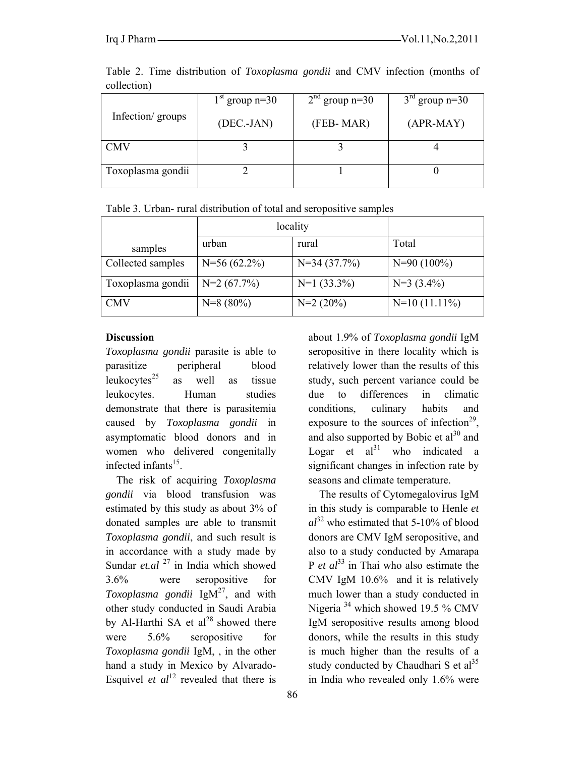|                   | $1st$ group n=30 | $2nd$ group n=30 | $3rd$ group n=30 |
|-------------------|------------------|------------------|------------------|
| Infection/groups  | $(DEC.-JAN)$     | (FEB-MAR)        | $(APR-MAY)$      |
| <b>CMV</b>        |                  |                  |                  |
|                   |                  |                  |                  |
| Toxoplasma gondii |                  |                  |                  |
|                   |                  |                  |                  |

Table 2. Time distribution of *Toxoplasma gondii* and CMV infection (months of collection)

| Table 3. Urban-rural distribution of total and seropositive samples |  |
|---------------------------------------------------------------------|--|
|---------------------------------------------------------------------|--|

|                   | locality       |               |                 |
|-------------------|----------------|---------------|-----------------|
| samples           | urban          | rural         | Total           |
| Collected samples | $N=56(62.2\%)$ | $N=34(37.7%)$ | $N=90(100\%)$   |
| Toxoplasma gondii | $N=2(67.7%)$   | $N=1$ (33.3%) | $N=3$ (3.4%)    |
| <b>CMV</b>        | $N=8(80\%)$    | $N=2(20\%)$   | $N=10(11.11\%)$ |

# **Discussion**

*Toxoplasma gondii* parasite is able to parasitize peripheral blood leukocytes $^{25}$  as well as tissue leukocytes. Human studies demonstrate that there is parasitemia caused by *Toxoplasma gondii* in asymptomatic blood donors and in women who delivered congenitally infected infants $15$ .

The risk of acquiring *Toxoplasma gondii* via blood transfusion was estimated by this study as about 3% of donated samples are able to transmit *Toxoplasma gondii*, and such result is in accordance with a study made by Sundar *et.al* <sup>27</sup> in India which showed 3.6% were seropositive for *Toxoplasma gondii* IgM<sup>27</sup>, and with other study conducted in Saudi Arabia by Al-Harthi SA et  $al^{28}$  showed there were  $5.6\%$  seropositive for *Toxoplasma gondii* IgM, , in the other hand a study in Mexico by Alvarado-Esquivel *et*  $al^{12}$  revealed that there is

about 1.9% of *Toxoplasma gondii* IgM seropositive in there locality which is relatively lower than the results of this study, such percent variance could be due to differences in climatic conditions, culinary habits and exposure to the sources of infection<sup>29</sup>, and also supported by Bobic et  $al^{30}$  and Logar et  $al^{31}$  who indicated a significant changes in infection rate by seasons and climate temperature.

 The results of Cytomegalovirus IgM in this study is comparable to Henle *et*   $al^{32}$  who estimated that 5-10% of blood donors are CMV IgM seropositive, and also to a study conducted by Amarapa P *et al*<sup>33</sup> in Thai who also estimate the CMV IgM 10.6% and it is relatively much lower than a study conducted in Nigeria<sup>34</sup> which showed 19.5 % CMV IgM seropositive results among blood donors, while the results in this study is much higher than the results of a study conducted by Chaudhari S et  $al<sup>35</sup>$ in India who revealed only 1.6% were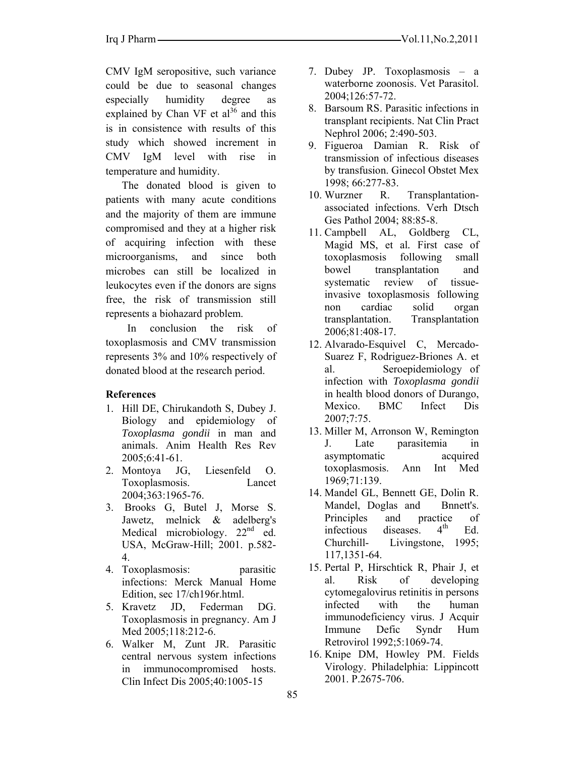CMV IgM seropositive, such variance could be due to seasonal changes especially humidity degree as explained by Chan VF et  $al^{36}$  and this is in consistence with results of this study which showed increment in CMV IgM level with rise in temperature and humidity.

The donated blood is given to patients with many acute conditions and the majority of them are immune compromised and they at a higher risk of acquiring infection with these microorganisms, and since both microbes can still be localized in leukocytes even if the donors are signs free, the risk of transmission still represents a biohazard problem.

 In conclusion the risk of toxoplasmosis and CMV transmission represents 3% and 10% respectively of donated blood at the research period.

## **References**

- 1. Hill DE, Chirukandoth S, Dubey J. Biology and epidemiology of *Toxoplasma gondii* in man and animals. Anim Health Res Rev 2005;6:41-61.
- 2. Montoya JG, Liesenfeld O. Toxoplasmosis. Lancet 2004;363:1965-76.
- 3. Brooks G, Butel J, Morse S. Jawetz, melnick & adelberg's Medical microbiology. 22<sup>nd</sup> ed. USA, McGraw-Hill; 2001. p.582- 4.
- 4. Toxoplasmosis: parasitic infections: Merck Manual Home Edition, sec 17/ch196r.html.
- 5. Kravetz JD, Federman DG. Toxoplasmosis in pregnancy. Am J Med 2005;118:212-6.
- 6. Walker M, Zunt JR. Parasitic central nervous system infections in immunocompromised hosts. Clin Infect Dis 2005;40:1005-15
- 7. Dubey JP. Toxoplasmosis a waterborne zoonosis. Vet Parasitol. 2004;126:57-72.
- 8. Barsoum RS. Parasitic infections in transplant recipients. Nat Clin Pract Nephrol 2006; 2:490-503.
- 9. Figueroa Damian R. Risk of transmission of infectious diseases by transfusion. Ginecol Obstet Mex 1998; 66:277-83.
- 10. Wurzner R. Transplantationassociated infections. Verh Dtsch Ges Pathol 2004; 88:85-8.
- 11. Campbell AL, Goldberg CL, Magid MS, et al*.* First case of toxoplasmosis following small bowel transplantation and systematic review of tissueinvasive toxoplasmosis following non cardiac solid organ transplantation. Transplantation 2006;81:408-17.
- 12. Alvarado-Esquivel C, Mercado-Suarez F, Rodriguez-Briones A. et al. Seroepidemiology of infection with *Toxoplasma gondii* in health blood donors of Durango, Mexico. BMC Infect Dis 2007;7:75.
- 13. Miller M, Arronson W, Remington J. Late parasitemia in asymptomatic acquired toxoplasmosis. Ann Int Med 1969;71:139.
- 14. Mandel GL, Bennett GE, Dolin R. Mandel, Doglas and Bnnett's. Principles and practice of infectious diseases.  $4<sup>th</sup>$  Ed. Churchill- Livingstone, 1995; 117,1351-64.
- 15. Pertal P, Hirschtick R, Phair J, et al. Risk of developing cytomegalovirus retinitis in persons infected with the human immunodeficiency virus. J Acquir Immune Defic Syndr Hum Retrovirol 1992;5:1069-74.
- 16. Knipe DM, Howley PM. Fields Virology. Philadelphia: Lippincott 2001. P.2675-706.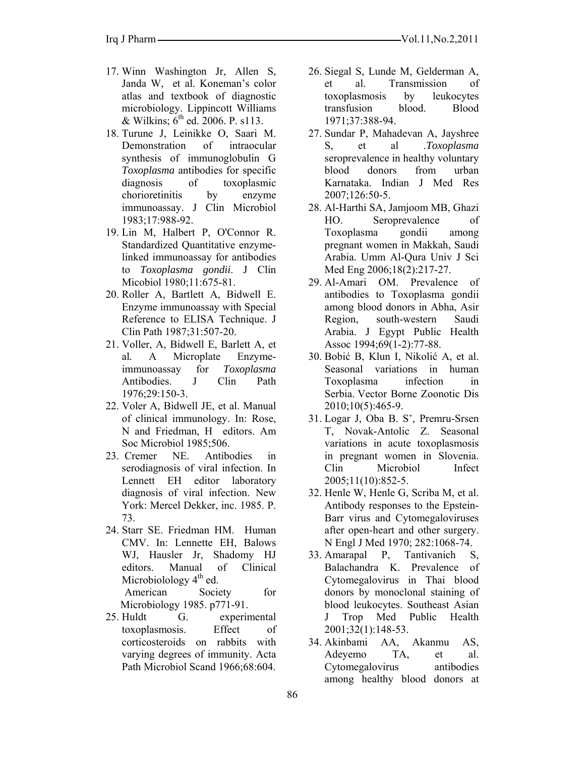- 17. Winn Washington Jr, Allen S, Janda W, et al. Koneman's color atlas and textbook of diagnostic microbiology. Lippincott Williams & Wilkins;  $6<sup>th</sup>$  ed. 2006. P. s113.
- 18. Turune J, Leinikke O, Saari M. Demonstration of intraocular synthesis of immunoglobulin G *Toxoplasma* antibodies for specific diagnosis of toxoplasmic chorioretinitis by enzyme immunoassay. J Clin Microbiol 1983;17:988-92.
- 19. Lin M, Halbert P, O'Connor R. Standardized Quantitative enzymelinked immunoassay for antibodies to *Toxoplasma gondii*. J Clin Micobiol 1980;11:675-81.
- 20. Roller A, Bartlett A, Bidwell E. Enzyme immunoassay with Special Reference to ELISA Technique. J Clin Path 1987;31:507-20.
- 21. Voller, A, Bidwell E, Barlett A, et al*.* A Microplate Enzymeimmunoassay for *Toxoplasma* Antibodies. J Clin Path 1976;29:150-3.
- 22. Voler A, Bidwell JE, et al. Manual of clinical immunology. In: Rose, N and Friedman, H editors. Am Soc Microbiol 1985;506.
- 23. Cremer NE. Antibodies in serodiagnosis of viral infection. In Lennett EH editor laboratory diagnosis of viral infection. New York: Mercel Dekker, inc. 1985. P. 73.
- 24. Starr SE. Friedman HM. Human CMV. In: Lennette EH, Balows WJ, Hausler Jr, Shadomy HJ editors. Manual of Clinical Microbiolology  $4<sup>th</sup>$  ed. American Society for Microbiology 1985. p771-91.
- 25. Huldt G. experimental toxoplasmosis. Effect of corticosteroids on rabbits with varying degrees of immunity. Acta Path Microbiol Scand 1966;68:604.
- 26. Siegal S, Lunde M, Gelderman A, et al. Transmission of toxoplasmosis by leukocytes transfusion blood. Blood 1971;37:388-94.
- 27. Sundar P, Mahadevan A, Jayshree S, et al .*Toxoplasma* seroprevalence in healthy voluntary blood donors from urban Karnataka. Indian J Med Res 2007;126:50-5.
- 28. Al-Harthi SA, Jamjoom MB, Ghazi HO. Seroprevalence of Toxoplasma gondii among pregnant women in Makkah, Saudi Arabia. Umm Al-Qura Univ J Sci Med Eng 2006;18(2):217-27.
- 29. Al-Amari OM. Prevalence of antibodies to Toxoplasma gondii among blood donors in Abha, Asir Region, south-western Saudi Arabia. J Egypt Public Health Assoc 1994;69(1-2):77-88.
- 30. Bobić B, Klun I, Nikolić A, et al. Seasonal variations in human Toxoplasma infection in Serbia. Vector Borne Zoonotic Dis 2010;10(5):465-9.
- 31. Logar J, Oba B. Sˇ, Premru-Srsen T, Novak-Antolic Z. Seasonal variations in acute toxoplasmosis in pregnant women in Slovenia. Clin Microbiol Infect 2005;11(10):852-5.
- 32. Henle W, Henle G, Scriba M, et al. Antibody responses to the Epstein-Barr virus and Cytomegaloviruses after open-heart and other surgery. N Engl J Med 1970; 282:1068-74.
- 33. Amarapal P, Tantivanich S, Balachandra K. Prevalence of Cytomegalovirus in Thai blood donors by monoclonal staining of blood leukocytes. Southeast Asian J Trop Med Public Health 2001;32(1):148-53.
- 34. Akinbami AA, Akanmu AS, Adeyemo TA, et al. Cytomegalovirus antibodies among healthy blood donors at